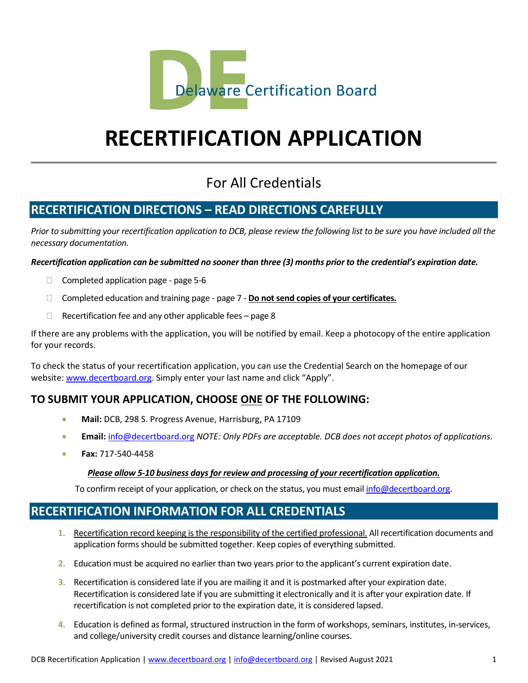

# **RECERTIFICATION APPLICATION**

# For All Credentials

# **RECERTIFICATION DIRECTIONS – READ DIRECTIONS CAREFULLY**

*Prior to submitting your recertification application to DCB, please review the following list to be sure you have included all the necessary documentation.* 

*Recertification application can be submitted no sooner than three (3) months prior to the credential's expiration date.*

- $\Box$  Completed application page page 5-6
- Completed education and training page page 7 **Do not send copies of your certificates.**
- $\Box$  Recertification fee and any other applicable fees page 8

If there are any problems with the application, you will be notified by email. Keep a photocopy of the entire application for your records.

To check the status of your recertification application, you can use the Credential Search on the homepage of our website[: www.decertboard.org.](http://www.decertboard.org/) Simply enter your last name and click "Apply".

## **TO SUBMIT YOUR APPLICATION, CHOOSE ONE OF THE FOLLOWING:**

- **Mail:** DCB, 298 S. Progress Avenue, Harrisburg, PA 17109
- **Email:** [info@decertboard.org](mailto:info@decertboard.org) *NOTE: Only PDFs are acceptable. DCB does not accept photos of applications.*
- **Fax:** 717-540-4458

#### *Please allow 5-10 business days for review and processing of your recertification application.*

To confirm receipt of your application, or check on the status, you must emai[l info@decertboard.org.](mailto:info@decertboard.org)

# **RECERTIFICATION INFORMATION FOR ALL CREDENTIALS**

- **1.** Recertification record keeping is the responsibility of the certified professional. All recertification documents and application forms should be submitted together. Keep copies of everything submitted.
- **2.** Education must be acquired no earlier than two years prior to the applicant's current expiration date.
- **3.** Recertification is considered late if you are mailing it and it is postmarked after your expiration date. Recertification is considered late if you are submitting it electronically and it is after your expiration date. If recertification is not completed prior to the expiration date, it is considered lapsed.
- **4.** Education is defined as formal, structured instruction in the form of workshops, seminars, institutes, in-services, and college/university credit courses and distance learning/online courses.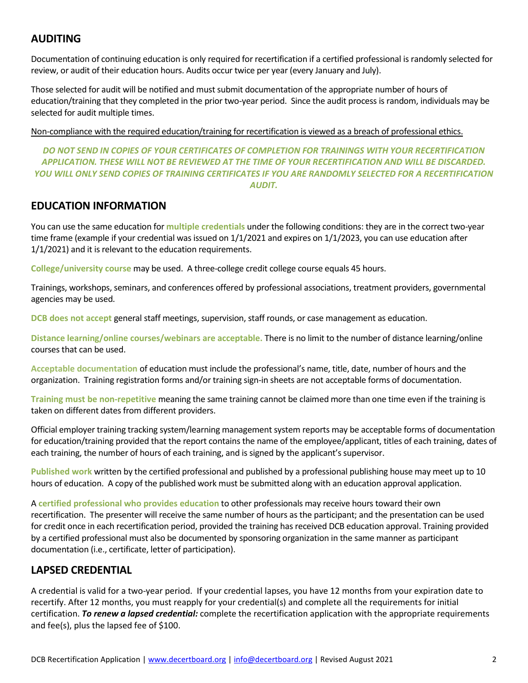## **AUDITING**

Documentation of continuing education is only required for recertification if a certified professional is randomly selected for review, or audit of their education hours. Audits occur twice per year (every January and July).

Those selected for audit will be notified and must submit documentation of the appropriate number of hours of education/training that they completed in the prior two-year period. Since the audit process is random, individuals may be selected for audit multiple times.

Non-compliance with the required education/training for recertification is viewed as a breach of professional ethics.

*DO NOT SEND IN COPIES OF YOUR CERTIFICATES OF COMPLETION FOR TRAININGS WITH YOUR RECERTIFICATION APPLICATION. THESE WILL NOT BE REVIEWED AT THE TIME OF YOUR RECERTIFICATION AND WILL BE DISCARDED. YOU WILL ONLY SEND COPIES OF TRAINING CERTIFICATES IF YOU ARE RANDOMLY SELECTED FOR A RECERTIFICATION AUDIT.*

#### **EDUCATION INFORMATION**

You can use the same education for **multiple credentials** under the following conditions: they are in the correct two-year time frame (example if your credential was issued on 1/1/2021 and expires on 1/1/2023, you can use education after 1/1/2021) and it is relevant to the education requirements.

**College/university course** may be used. A three-college credit college course equals 45 hours.

Trainings, workshops, seminars, and conferences offered by professional associations, treatment providers, governmental agencies may be used.

**DCB does not accept** general staff meetings, supervision, staff rounds, or case management as education.

**Distance learning/online courses/webinars are acceptable.** There is no limit to the number of distance learning/online courses that can be used.

**Acceptable documentation** of education must include the professional's name, title, date, number of hours and the organization. Training registration forms and/or training sign-in sheets are not acceptable forms of documentation.

**Training must be non-repetitive** meaning the same training cannot be claimed more than one time even if the training is taken on different dates from different providers.

Official employer training tracking system/learning management system reports may be acceptable forms of documentation for education/training provided that the report contains the name of the employee/applicant, titles of each training, dates of each training, the number of hours of each training, and is signed by the applicant's supervisor.

**Published work** written by the certified professional and published by a professional publishing house may meet up to 10 hours of education. A copy of the published work must be submitted along with an education approval application.

A **certified professional who provides education** to other professionals may receive hours toward their own recertification. The presenter will receive the same number of hours as the participant; and the presentation can be used for credit once in each recertification period, provided the training has received DCB education approval. Training provided by a certified professional must also be documented by sponsoring organization in the same manner as participant documentation (i.e., certificate, letter of participation).

## **LAPSED CREDENTIAL**

A credential is valid for a two-year period. If your credential lapses, you have 12 months from your expiration date to recertify. After 12 months, you must reapply for your credential(s) and complete all the requirements for initial certification. *To renew a lapsed credential:* complete the recertification application with the appropriate requirements and fee(s), plus the lapsed fee of \$100.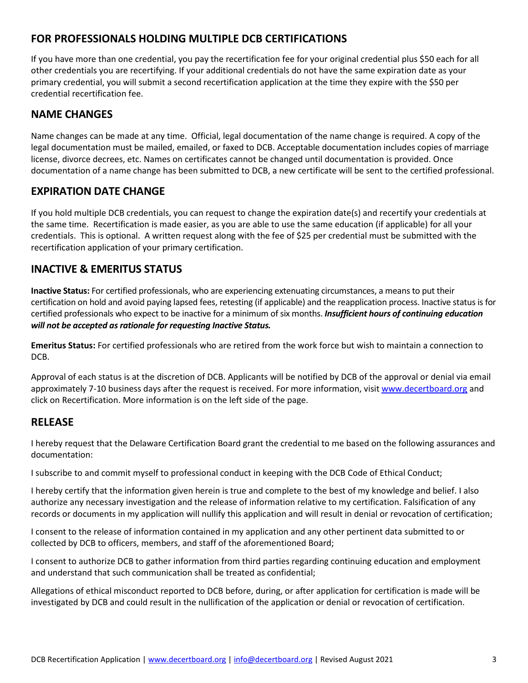## **FOR PROFESSIONALS HOLDING MULTIPLE DCB CERTIFICATIONS**

If you have more than one credential, you pay the recertification fee for your original credential plus \$50 each for all other credentials you are recertifying. If your additional credentials do not have the same expiration date as your primary credential, you will submit a second recertification application at the time they expire with the \$50 per credential recertification fee.

## **NAME CHANGES**

Name changes can be made at any time. Official, legal documentation of the name change is required. A copy of the legal documentation must be mailed, emailed, or faxed to DCB. Acceptable documentation includes copies of marriage license, divorce decrees, etc. Names on certificates cannot be changed until documentation is provided. Once documentation of a name change has been submitted to DCB, a new certificate will be sent to the certified professional.

### **EXPIRATION DATE CHANGE**

If you hold multiple DCB credentials, you can request to change the expiration date(s) and recertify your credentials at the same time. Recertification is made easier, as you are able to use the same education (if applicable) for all your credentials. This is optional. A written request along with the fee of \$25 per credential must be submitted with the recertification application of your primary certification.

## **INACTIVE & EMERITUS STATUS**

**Inactive Status:** For certified professionals, who are experiencing extenuating circumstances, a means to put their certification on hold and avoid paying lapsed fees, retesting (if applicable) and the reapplication process. Inactive status is for certified professionals who expect to be inactive for a minimum of six months. *Insufficient hours of continuing education will not be accepted as rationale for requesting Inactive Status.* 

**Emeritus Status:** For certified professionals who are retired from the work force but wish to maintain a connection to DCB.

Approval of each status is at the discretion of DCB. Applicants will be notified by DCB of the approval or denial via email approximately 7-10 business days after the request is received. For more information, visi[t www.decertboard.org](http://www.decertboard.org/) and click on Recertification. More information is on the left side of the page.

#### **RELEASE**

I hereby request that the Delaware Certification Board grant the credential to me based on the following assurances and documentation:

I subscribe to and commit myself to professional conduct in keeping with the DCB Code of Ethical Conduct;

I hereby certify that the information given herein is true and complete to the best of my knowledge and belief. I also authorize any necessary investigation and the release of information relative to my certification. Falsification of any records or documents in my application will nullify this application and will result in denial or revocation of certification;

I consent to the release of information contained in my application and any other pertinent data submitted to or collected by DCB to officers, members, and staff of the aforementioned Board;

I consent to authorize DCB to gather information from third parties regarding continuing education and employment and understand that such communication shall be treated as confidential;

Allegations of ethical misconduct reported to DCB before, during, or after application for certification is made will be investigated by DCB and could result in the nullification of the application or denial or revocation of certification.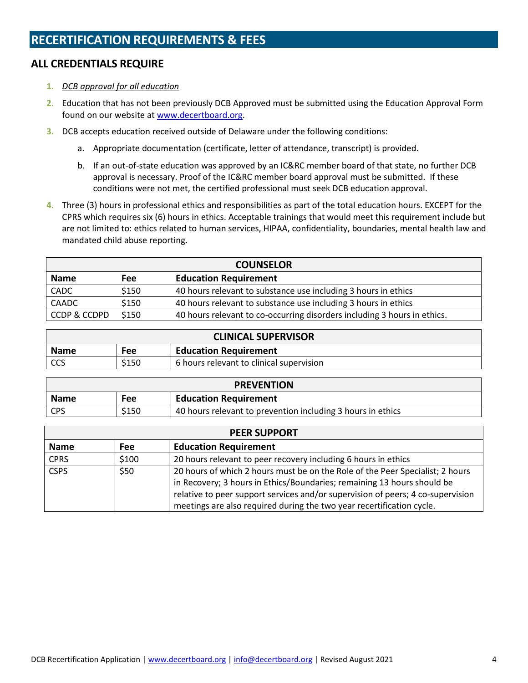# **RECERTIFICATION REQUIREMENTS & FEES**

## **ALL CREDENTIALS REQUIRE**

- **1.** *DCB approval for all education*
- **2.** Education that has not been previously DCB Approved must be submitted using the Education Approval Form found on our website at [www.decertboard.org.](http://www.decertboard.org/)
- **3.** DCB accepts education received outside of Delaware under the following conditions:
	- a. Appropriate documentation (certificate, letter of attendance, transcript) is provided.
	- b. If an out-of-state education was approved by an IC&RC member board of that state, no further DCB approval is necessary. Proof of the IC&RC member board approval must be submitted. If these conditions were not met, the certified professional must seek DCB education approval.
- **4.** Three (3) hours in professional ethics and responsibilities as part of the total education hours. EXCEPT for the CPRS which requires six (6) hours in ethics. Acceptable trainings that would meet this requirement include but are not limited to: ethics related to human services, HIPAA, confidentiality, boundaries, mental health law and mandated child abuse reporting.

|              |       | <b>COUNSELOR</b>                                                         |
|--------------|-------|--------------------------------------------------------------------------|
| <b>Name</b>  | Fee   | <b>Education Requirement</b>                                             |
| CADC         | \$150 | 40 hours relevant to substance use including 3 hours in ethics           |
| CAADC        | \$150 | 40 hours relevant to substance use including 3 hours in ethics           |
| CCDP & CCDPD | \$150 | 40 hours relevant to co-occurring disorders including 3 hours in ethics. |

|             |            | <b>CLINICAL SUPERVISOR</b>               |
|-------------|------------|------------------------------------------|
| <b>Name</b> | <b>Fee</b> | <b>Education Requirement</b>             |
| l CCS       | \$150      | 6 hours relevant to clinical supervision |

|             |       | <b>PREVENTION</b>                                           |
|-------------|-------|-------------------------------------------------------------|
| <b>Name</b> | Fee   | <b>Education Requirement</b>                                |
| <b>CPS</b>  | \$150 | 40 hours relevant to prevention including 3 hours in ethics |

|             |            | <b>PEER SUPPORT</b>                                                                                                                                                                                                                                                                                                  |
|-------------|------------|----------------------------------------------------------------------------------------------------------------------------------------------------------------------------------------------------------------------------------------------------------------------------------------------------------------------|
| <b>Name</b> | <b>Fee</b> | <b>Education Requirement</b>                                                                                                                                                                                                                                                                                         |
| <b>CPRS</b> | \$100      | 20 hours relevant to peer recovery including 6 hours in ethics                                                                                                                                                                                                                                                       |
| <b>CSPS</b> | \$50       | 20 hours of which 2 hours must be on the Role of the Peer Specialist; 2 hours<br>in Recovery; 3 hours in Ethics/Boundaries; remaining 13 hours should be<br>relative to peer support services and/or supervision of peers; 4 co-supervision<br>meetings are also required during the two year recertification cycle. |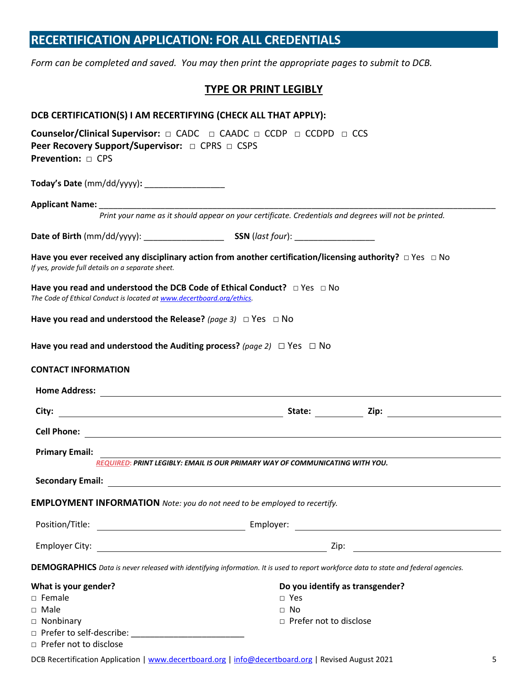# **RECERTIFICATION APPLICATION: FOR ALL CREDENTIALS**

*Form can be completed and saved. You may then print the appropriate pages to submit to DCB.*

#### **TYPE OR PRINT LEGIBLY**

| DCB CERTIFICATION(S) I AM RECERTIFYING (CHECK ALL THAT APPLY):                                                                                              |                                                                                                                                      |  |  |
|-------------------------------------------------------------------------------------------------------------------------------------------------------------|--------------------------------------------------------------------------------------------------------------------------------------|--|--|
| Peer Recovery Support/Supervisor: □ CPRS □ CSPS<br>Prevention: $\Box$ CPS                                                                                   | Counselor/Clinical Supervisor: $\Box$ CADC $\Box$ CAADC $\Box$ CCDP $\Box$ CCDPD $\Box$ CCS                                          |  |  |
| Today's Date (mm/dd/yyyy): ___________________                                                                                                              |                                                                                                                                      |  |  |
|                                                                                                                                                             |                                                                                                                                      |  |  |
|                                                                                                                                                             | Print your name as it should appear on your certificate. Credentials and degrees will not be printed.                                |  |  |
|                                                                                                                                                             |                                                                                                                                      |  |  |
| If yes, provide full details on a separate sheet.                                                                                                           | Have you ever received any disciplinary action from another certification/licensing authority? $\Box$ Yes $\Box$ No                  |  |  |
| Have you read and understood the DCB Code of Ethical Conduct? $\Box$ Yes $\Box$ No<br>The Code of Ethical Conduct is located at www.decertboard.org/ethics. |                                                                                                                                      |  |  |
| Have you read and understood the Release? (page 3) $\Box$ Yes $\Box$ No                                                                                     |                                                                                                                                      |  |  |
| Have you read and understood the Auditing process? (page 2) $\Box$ Yes $\Box$ No                                                                            |                                                                                                                                      |  |  |
| <b>CONTACT INFORMATION</b>                                                                                                                                  |                                                                                                                                      |  |  |
|                                                                                                                                                             |                                                                                                                                      |  |  |
|                                                                                                                                                             |                                                                                                                                      |  |  |
|                                                                                                                                                             |                                                                                                                                      |  |  |
| <b>Primary Email:</b>                                                                                                                                       | REQUIRED: PRINT LEGIBLY: EMAIL IS OUR PRIMARY WAY OF COMMUNICATING WITH YOU.                                                         |  |  |
|                                                                                                                                                             |                                                                                                                                      |  |  |
| <b>EMPLOYMENT INFORMATION</b> Note: you do not need to be employed to recertify.                                                                            |                                                                                                                                      |  |  |
| Position/Title:                                                                                                                                             |                                                                                                                                      |  |  |
|                                                                                                                                                             | <u> 1989 - John Harry Harry Harry Harry Harry Harry Harry Harry Harry Harry Harry Harry Harry Harry Harry Harry H</u>                |  |  |
|                                                                                                                                                             | DEMOGRAPHICS Data is never released with identifying information. It is used to report workforce data to state and federal agencies. |  |  |
| What is your gender?                                                                                                                                        | Do you identify as transgender?                                                                                                      |  |  |
| $\square$ Female                                                                                                                                            | $\Box$ Yes                                                                                                                           |  |  |
| $\Box$ Male                                                                                                                                                 | $\Box$ No                                                                                                                            |  |  |
| $\Box$ Nonbinary                                                                                                                                            | $\Box$ Prefer not to disclose                                                                                                        |  |  |
|                                                                                                                                                             |                                                                                                                                      |  |  |
| □ Prefer not to disclose                                                                                                                                    |                                                                                                                                      |  |  |

DCB Recertification Application | [www.decertboard.org](http://www.decertboard.org/) [| info@decertboard.org](mailto:info@decertboard.org) | Revised August 2021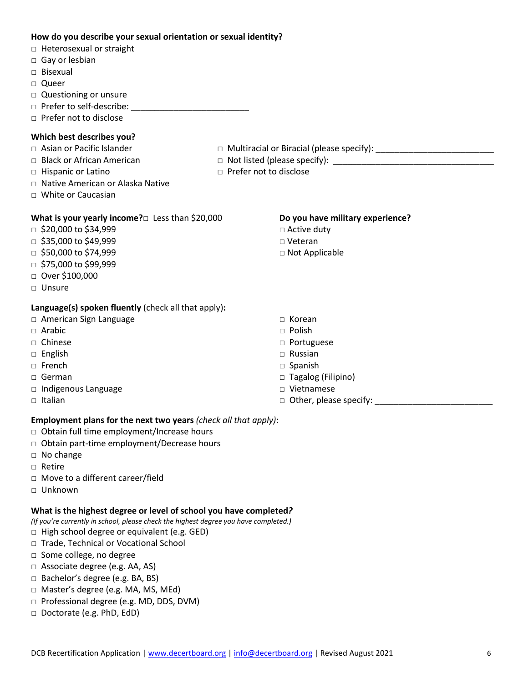#### **How do you describe your sexual orientation or sexual identity?**

- □ Heterosexual or straight
- □ Gay or lesbian
- □ Bisexual
- □ Queer
- □ Questioning or unsure
- □ Prefer to self-describe: \_\_\_\_\_\_\_\_\_\_\_\_\_\_\_\_\_\_\_\_\_\_\_\_\_
- □ Prefer not to disclose

#### **Which best describes you?**

- □ Asian or Pacific Islander □ Multiracial or Biracial (please specify): \_\_\_\_\_\_\_\_\_\_\_\_\_\_\_\_\_\_\_\_\_\_\_\_\_
- □ Black or African American □ Not listed (please specify): \_\_\_\_\_\_\_\_\_\_\_\_\_\_\_\_\_\_\_\_\_\_\_\_\_\_\_\_\_\_\_\_\_\_
- 
- 
- □ Hispanic or Latino □ Prefer not to disclose
- □ Native American or Alaska Native
- □ White or Caucasian

#### **What is your yearly income?**□ Less than \$20,000

- □ \$20,000 to \$34,999
- $\Box$  \$35,000 to \$49,999
- $\Box$  \$50,000 to \$74,999
- $\Box$  \$75,000 to \$99,999
- □ Over \$100,000
- □ Unsure

#### **Language(s) spoken fluently** (check all that apply)**:**

- □ American Sign Language
- $\Box$  Arabic
- □ Chinese
- □ English
- □ French
- □ German
- □ Indigenous Language
- $\Box$  Italian
- **Do you have military experience?**  □ Active duty
- □ Veteran
- □ Not Applicable
- □ Korean
- □ Polish
- □ Portuguese
- □ Russian
- □ Spanish
- □ Tagalog (Filipino)
- □ Vietnamese
- $\Box$  Other, please specify:

#### **Employment plans for the next two years** *(check all that apply)*:

- □ Obtain full time employment/Increase hours
- □ Obtain part-time employment/Decrease hours
- □ No change
- □ Retire
- □ Move to a different career/field
- □ Unknown

#### **What is the highest degree or level of school you have completed***?*

*(If you're currently in school, please check the highest degree you have completed.)*

- $\Box$  High school degree or equivalent (e.g. GED)
- □ Trade, Technical or Vocational School
- □ Some college, no degree
- □ Associate degree (e.g. AA, AS)
- □ Bachelor's degree (e.g. BA, BS)
- □ Master's degree (e.g. MA, MS, MEd)
- □ Professional degree (e.g. MD, DDS, DVM)
- □ Doctorate (e.g. PhD, EdD)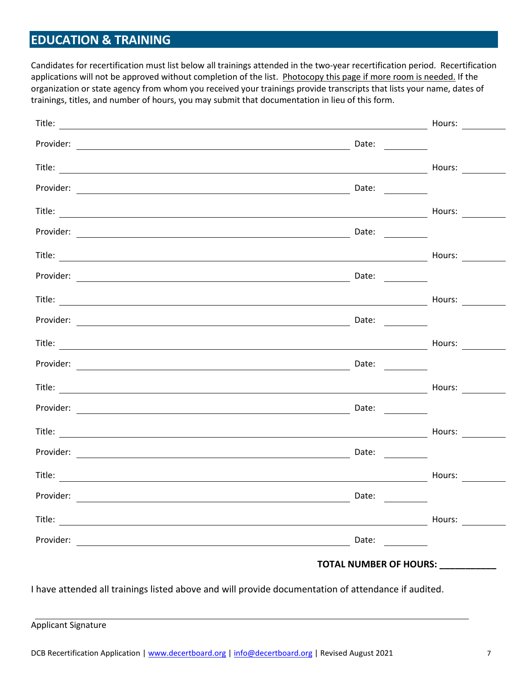# **EDUCATION & TRAINING**

Candidates for recertification must list below all trainings attended in the two-year recertification period. Recertification applications will not be approved without completion of the list. Photocopy this page if more room is needed. If the organization or state agency from whom you received your trainings provide transcripts that lists your name, dates of trainings, titles, and number of hours, you may submit that documentation in lieu of this form.

|           |                                                                                                                                                                                                                                                                                                                                                                                                               | Hours:                                                                                                                                                                                                                         |
|-----------|---------------------------------------------------------------------------------------------------------------------------------------------------------------------------------------------------------------------------------------------------------------------------------------------------------------------------------------------------------------------------------------------------------------|--------------------------------------------------------------------------------------------------------------------------------------------------------------------------------------------------------------------------------|
|           | Date:                                                                                                                                                                                                                                                                                                                                                                                                         |                                                                                                                                                                                                                                |
|           |                                                                                                                                                                                                                                                                                                                                                                                                               | Hours: $\qquad \qquad \qquad$                                                                                                                                                                                                  |
|           | Date:                                                                                                                                                                                                                                                                                                                                                                                                         |                                                                                                                                                                                                                                |
|           |                                                                                                                                                                                                                                                                                                                                                                                                               |                                                                                                                                                                                                                                |
|           | Date: $\frac{1}{\sqrt{1-\frac{1}{2}}\cdot\frac{1}{2}}$                                                                                                                                                                                                                                                                                                                                                        |                                                                                                                                                                                                                                |
|           |                                                                                                                                                                                                                                                                                                                                                                                                               | Hours:                                                                                                                                                                                                                         |
|           | Date: $\qquad \qquad$                                                                                                                                                                                                                                                                                                                                                                                         |                                                                                                                                                                                                                                |
|           |                                                                                                                                                                                                                                                                                                                                                                                                               | Hours:                                                                                                                                                                                                                         |
|           | Date:                                                                                                                                                                                                                                                                                                                                                                                                         |                                                                                                                                                                                                                                |
|           |                                                                                                                                                                                                                                                                                                                                                                                                               | Hours: $\frac{1}{2}$                                                                                                                                                                                                           |
|           | Date: $\qquad \qquad$                                                                                                                                                                                                                                                                                                                                                                                         |                                                                                                                                                                                                                                |
|           |                                                                                                                                                                                                                                                                                                                                                                                                               |                                                                                                                                                                                                                                |
|           |                                                                                                                                                                                                                                                                                                                                                                                                               |                                                                                                                                                                                                                                |
|           |                                                                                                                                                                                                                                                                                                                                                                                                               | Hours: $\qquad \qquad \qquad$                                                                                                                                                                                                  |
|           | Date: $\frac{1}{\sqrt{1-\frac{1}{2}}\sqrt{1-\frac{1}{2}}\sqrt{1-\frac{1}{2}}\sqrt{1-\frac{1}{2}}\sqrt{1-\frac{1}{2}}\sqrt{1-\frac{1}{2}}\sqrt{1-\frac{1}{2}}\sqrt{1-\frac{1}{2}}\sqrt{1-\frac{1}{2}}\sqrt{1-\frac{1}{2}}\sqrt{1-\frac{1}{2}}\sqrt{1-\frac{1}{2}}\sqrt{1-\frac{1}{2}}\sqrt{1-\frac{1}{2}}\sqrt{1-\frac{1}{2}}\sqrt{1-\frac{1}{2}}\sqrt{1-\frac{1}{2}}\sqrt{1-\frac{1}{2}}\sqrt{1-\frac{1}{2}}$ |                                                                                                                                                                                                                                |
|           |                                                                                                                                                                                                                                                                                                                                                                                                               | Hours: $\qquad \qquad \qquad$                                                                                                                                                                                                  |
| Provider: | Date:                                                                                                                                                                                                                                                                                                                                                                                                         |                                                                                                                                                                                                                                |
|           |                                                                                                                                                                                                                                                                                                                                                                                                               | Hours: Note that the set of the set of the set of the set of the set of the set of the set of the set of the set of the set of the set of the set of the set of the set of the set of the set of the set of the set of the set |
|           | Date:                                                                                                                                                                                                                                                                                                                                                                                                         |                                                                                                                                                                                                                                |
|           | TOTAL NUMBER OF HOURS: __________                                                                                                                                                                                                                                                                                                                                                                             |                                                                                                                                                                                                                                |

I have attended all trainings listed above and will provide documentation of attendance if audited.

Applicant Signature